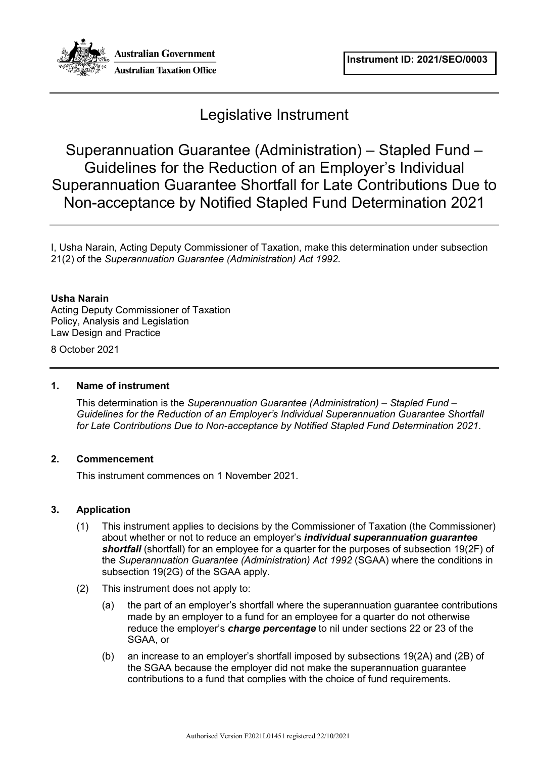

# Legislative Instrument

Superannuation Guarantee (Administration) – Stapled Fund – Guidelines for the Reduction of an Employer's Individual Superannuation Guarantee Shortfall for Late Contributions Due to Non-acceptance by Notified Stapled Fund Determination 2021

I, Usha Narain, Acting Deputy Commissioner of Taxation, make this determination under subsection 21(2) of the *Superannuation Guarantee (Administration) Act 1992*.

# **Usha Narain**

Acting Deputy Commissioner of Taxation Policy, Analysis and Legislation Law Design and Practice

8 October 2021

# **1. Name of instrument**

This determination is the *Superannuation Guarantee (Administration) – Stapled Fund – Guidelines for the Reduction of an Employer's Individual Superannuation Guarantee Shortfall for Late Contributions Due to Non-acceptance by Notified Stapled Fund Determination 2021*.

# **2. Commencement**

This instrument commences on 1 November 2021.

# **3. Application**

- (1) This instrument applies to decisions by the Commissioner of Taxation (the Commissioner) about whether or not to reduce an employer's *individual superannuation guarantee shortfall* (shortfall) for an employee for a quarter for the purposes of subsection 19(2F) of the *Superannuation Guarantee (Administration) Act 1992* (SGAA) where the conditions in subsection 19(2G) of the SGAA apply.
- (2) This instrument does not apply to:
	- (a) the part of an employer's shortfall where the superannuation guarantee contributions made by an employer to a fund for an employee for a quarter do not otherwise reduce the employer's *charge percentage* to nil under sections 22 or 23 of the SGAA, or
	- (b) an increase to an employer's shortfall imposed by subsections 19(2A) and (2B) of the SGAA because the employer did not make the superannuation guarantee contributions to a fund that complies with the choice of fund requirements.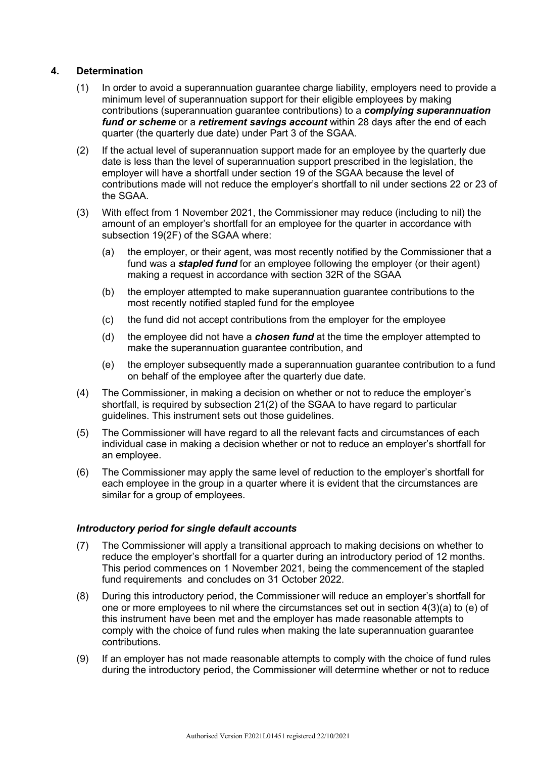# **4. Determination**

- (1) In order to avoid a superannuation guarantee charge liability, employers need to provide a minimum level of superannuation support for their eligible employees by making contributions (superannuation guarantee contributions) to a *complying superannuation fund or scheme* or a *retirement savings account* within 28 days after the end of each quarter (the quarterly due date) under Part 3 of the SGAA.
- (2) If the actual level of superannuation support made for an employee by the quarterly due date is less than the level of superannuation support prescribed in the legislation, the employer will have a shortfall under section 19 of the SGAA because the level of contributions made will not reduce the employer's shortfall to nil under sections 22 or 23 of the SGAA.
- (3) With effect from 1 November 2021, the Commissioner may reduce (including to nil) the amount of an employer's shortfall for an employee for the quarter in accordance with subsection 19(2F) of the SGAA where:
	- (a) the employer, or their agent, was most recently notified by the Commissioner that a fund was a *stapled fund* for an employee following the employer (or their agent) making a request in accordance with section 32R of the SGAA
	- (b) the employer attempted to make superannuation guarantee contributions to the most recently notified stapled fund for the employee
	- (c) the fund did not accept contributions from the employer for the employee
	- (d) the employee did not have a *chosen fund* at the time the employer attempted to make the superannuation guarantee contribution, and
	- (e) the employer subsequently made a superannuation guarantee contribution to a fund on behalf of the employee after the quarterly due date.
- (4) The Commissioner, in making a decision on whether or not to reduce the employer's shortfall, is required by subsection 21(2) of the SGAA to have regard to particular guidelines. This instrument sets out those guidelines.
- (5) The Commissioner will have regard to all the relevant facts and circumstances of each individual case in making a decision whether or not to reduce an employer's shortfall for an employee.
- (6) The Commissioner may apply the same level of reduction to the employer's shortfall for each employee in the group in a quarter where it is evident that the circumstances are similar for a group of employees.

# *Introductory period for single default accounts*

- (7) The Commissioner will apply a transitional approach to making decisions on whether to reduce the employer's shortfall for a quarter during an introductory period of 12 months. This period commences on 1 November 2021, being the commencement of the stapled fund requirements and concludes on 31 October 2022.
- (8) During this introductory period, the Commissioner will reduce an employer's shortfall for one or more employees to nil where the circumstances set out in section 4(3)(a) to (e) of this instrument have been met and the employer has made reasonable attempts to comply with the choice of fund rules when making the late superannuation guarantee contributions.
- (9) If an employer has not made reasonable attempts to comply with the choice of fund rules during the introductory period, the Commissioner will determine whether or not to reduce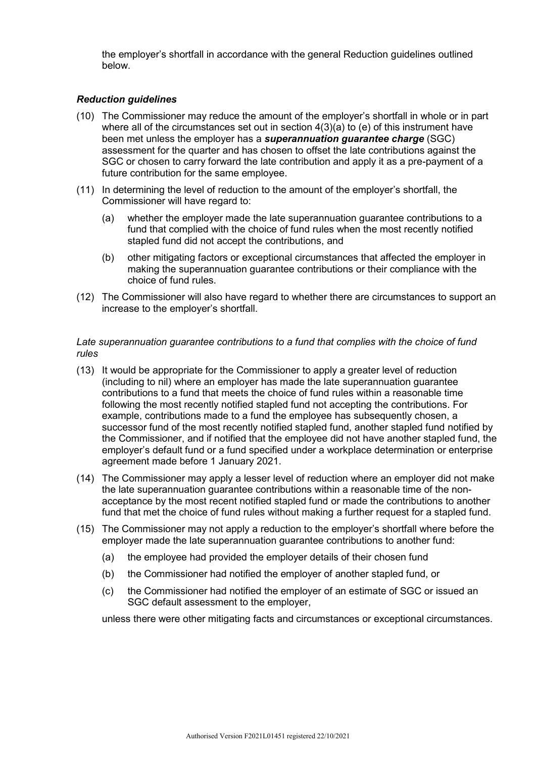the employer's shortfall in accordance with the general Reduction guidelines outlined below.

## *Reduction guidelines*

- (10) The Commissioner may reduce the amount of the employer's shortfall in whole or in part where all of the circumstances set out in section  $4(3)(a)$  to (e) of this instrument have been met unless the employer has a *superannuation guarantee charge* (SGC) assessment for the quarter and has chosen to offset the late contributions against the SGC or chosen to carry forward the late contribution and apply it as a pre-payment of a future contribution for the same employee.
- (11) In determining the level of reduction to the amount of the employer's shortfall, the Commissioner will have regard to:
	- (a) whether the employer made the late superannuation guarantee contributions to a fund that complied with the choice of fund rules when the most recently notified stapled fund did not accept the contributions, and
	- (b) other mitigating factors or exceptional circumstances that affected the employer in making the superannuation guarantee contributions or their compliance with the choice of fund rules.
- (12) The Commissioner will also have regard to whether there are circumstances to support an increase to the employer's shortfall.

#### *Late superannuation guarantee contributions to a fund that complies with the choice of fund rules*

- (13) It would be appropriate for the Commissioner to apply a greater level of reduction (including to nil) where an employer has made the late superannuation guarantee contributions to a fund that meets the choice of fund rules within a reasonable time following the most recently notified stapled fund not accepting the contributions. For example, contributions made to a fund the employee has subsequently chosen, a successor fund of the most recently notified stapled fund, another stapled fund notified by the Commissioner, and if notified that the employee did not have another stapled fund, the employer's default fund or a fund specified under a workplace determination or enterprise agreement made before 1 January 2021.
- (14) The Commissioner may apply a lesser level of reduction where an employer did not make the late superannuation guarantee contributions within a reasonable time of the nonacceptance by the most recent notified stapled fund or made the contributions to another fund that met the choice of fund rules without making a further request for a stapled fund.
- (15) The Commissioner may not apply a reduction to the employer's shortfall where before the employer made the late superannuation guarantee contributions to another fund:
	- (a) the employee had provided the employer details of their chosen fund
	- (b) the Commissioner had notified the employer of another stapled fund, or
	- (c) the Commissioner had notified the employer of an estimate of SGC or issued an SGC default assessment to the employer,

unless there were other mitigating facts and circumstances or exceptional circumstances.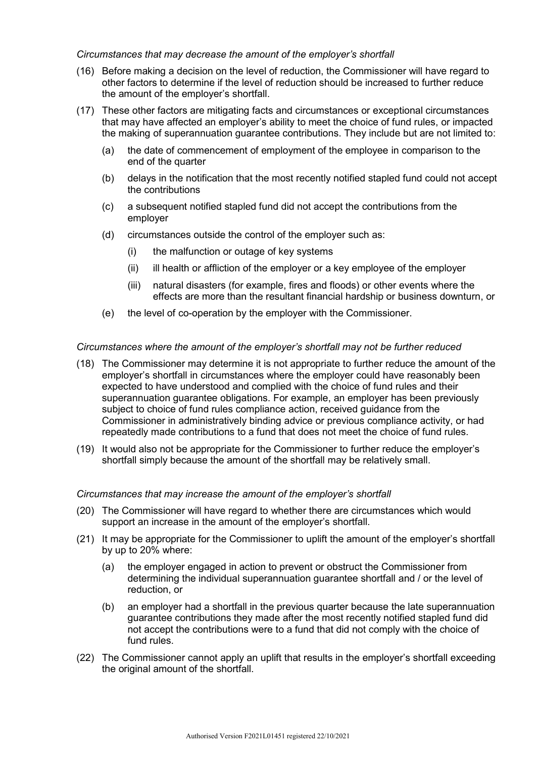#### *Circumstances that may decrease the amount of the employer's shortfall*

- (16) Before making a decision on the level of reduction, the Commissioner will have regard to other factors to determine if the level of reduction should be increased to further reduce the amount of the employer's shortfall.
- (17) These other factors are mitigating facts and circumstances or exceptional circumstances that may have affected an employer's ability to meet the choice of fund rules, or impacted the making of superannuation guarantee contributions. They include but are not limited to:
	- (a) the date of commencement of employment of the employee in comparison to the end of the quarter
	- (b) delays in the notification that the most recently notified stapled fund could not accept the contributions
	- (c) a subsequent notified stapled fund did not accept the contributions from the employer
	- (d) circumstances outside the control of the employer such as:
		- (i) the malfunction or outage of key systems
		- (ii) ill health or affliction of the employer or a key employee of the employer
		- (iii) natural disasters (for example, fires and floods) or other events where the effects are more than the resultant financial hardship or business downturn, or
	- (e) the level of co-operation by the employer with the Commissioner.

#### *Circumstances where the amount of the employer's shortfall may not be further reduced*

- (18) The Commissioner may determine it is not appropriate to further reduce the amount of the employer's shortfall in circumstances where the employer could have reasonably been expected to have understood and complied with the choice of fund rules and their superannuation guarantee obligations. For example, an employer has been previously subject to choice of fund rules compliance action, received guidance from the Commissioner in administratively binding advice or previous compliance activity, or had repeatedly made contributions to a fund that does not meet the choice of fund rules.
- (19) It would also not be appropriate for the Commissioner to further reduce the employer's shortfall simply because the amount of the shortfall may be relatively small.

#### *Circumstances that may increase the amount of the employer's shortfall*

- (20) The Commissioner will have regard to whether there are circumstances which would support an increase in the amount of the employer's shortfall.
- (21) It may be appropriate for the Commissioner to uplift the amount of the employer's shortfall by up to 20% where:
	- (a) the employer engaged in action to prevent or obstruct the Commissioner from determining the individual superannuation guarantee shortfall and / or the level of reduction, or
	- (b) an employer had a shortfall in the previous quarter because the late superannuation guarantee contributions they made after the most recently notified stapled fund did not accept the contributions were to a fund that did not comply with the choice of fund rules.
- (22) The Commissioner cannot apply an uplift that results in the employer's shortfall exceeding the original amount of the shortfall.